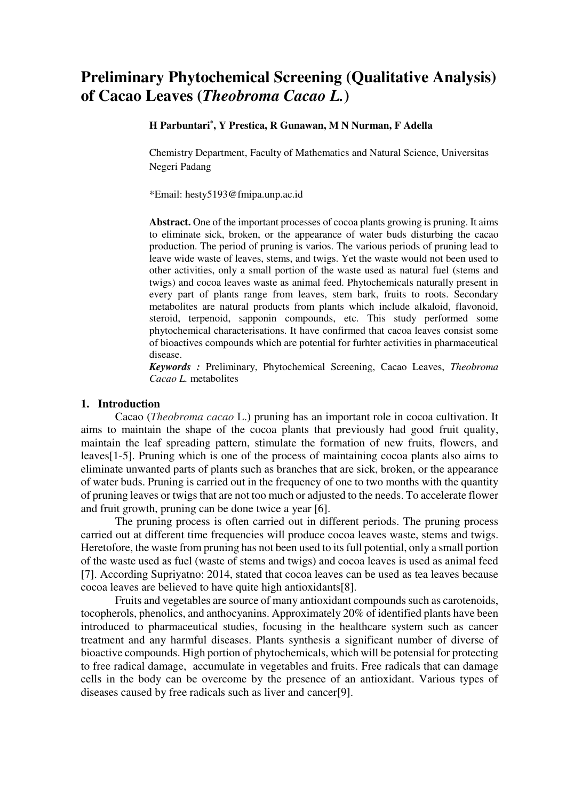# **Preliminary Phytochemical Screening (Qualitative Analysis) of Cacao Leaves (***Theobroma Cacao L.***)**

### **H Parbuntari\* , Y Prestica, R Gunawan, M N Nurman, F Adella**

Chemistry Department, Faculty of Mathematics and Natural Science, Universitas Negeri Padang

\*Email: hesty5193@fmipa.unp.ac.id

**Abstract.** One of the important processes of cocoa plants growing is pruning. It aims to eliminate sick, broken, or the appearance of water buds disturbing the cacao production. The period of pruning is varios. The various periods of pruning lead to leave wide waste of leaves, stems, and twigs. Yet the waste would not been used to other activities, only a small portion of the waste used as natural fuel (stems and twigs) and cocoa leaves waste as animal feed. Phytochemicals naturally present in every part of plants range from leaves, stem bark, fruits to roots. Secondary metabolites are natural products from plants which include alkaloid, flavonoid, steroid, terpenoid, sapponin compounds, etc. This study performed some phytochemical characterisations. It have confirmed that cacoa leaves consist some of bioactives compounds which are potential for furhter activities in pharmaceutical disease.

*Keywords :* Preliminary, Phytochemical Screening, Cacao Leaves, *Theobroma Cacao L.* metabolites

# **1. Introduction**

Cacao (*Theobroma cacao* L.) pruning has an important role in cocoa cultivation. It aims to maintain the shape of the cocoa plants that previously had good fruit quality, maintain the leaf spreading pattern, stimulate the formation of new fruits, flowers, and leaves[1-5]. Pruning which is one of the process of maintaining cocoa plants also aims to eliminate unwanted parts of plants such as branches that are sick, broken, or the appearance of water buds. Pruning is carried out in the frequency of one to two months with the quantity of pruning leaves or twigs that are not too much or adjusted to the needs. To accelerate flower and fruit growth, pruning can be done twice a year [6].

The pruning process is often carried out in different periods. The pruning process carried out at different time frequencies will produce cocoa leaves waste, stems and twigs. Heretofore, the waste from pruning has not been used to its full potential, only a small portion of the waste used as fuel (waste of stems and twigs) and cocoa leaves is used as animal feed [7]. According Supriyatno: 2014, stated that cocoa leaves can be used as tea leaves because cocoa leaves are believed to have quite high antioxidants[8].

Fruits and vegetables are source of many antioxidant compounds such as carotenoids, tocopherols, phenolics, and anthocyanins. Approximately 20% of identified plants have been introduced to pharmaceutical studies, focusing in the healthcare system such as cancer treatment and any harmful diseases. Plants synthesis a significant number of diverse of bioactive compounds. High portion of phytochemicals, which will be potensial for protecting to free radical damage, accumulate in vegetables and fruits. Free radicals that can damage cells in the body can be overcome by the presence of an antioxidant. Various types of diseases caused by free radicals such as liver and cancer[9].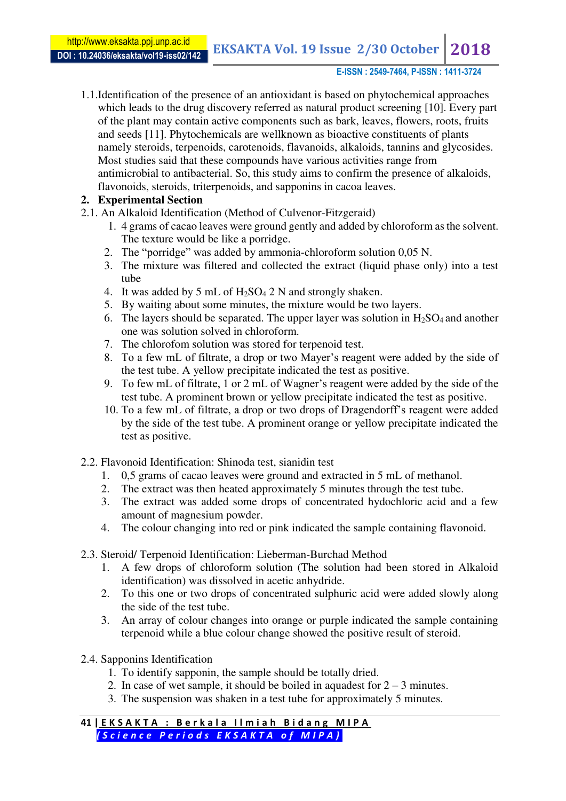# **E-ISSN : 2549-7464, P-ISSN : 1411-3724**

1.1.Identification of the presence of an antioxidant is based on phytochemical approaches which leads to the drug discovery referred as natural product screening [10]. Every part of the plant may contain active components such as bark, leaves, flowers, roots, fruits and seeds [11]. Phytochemicals are wellknown as bioactive constituents of plants namely steroids, terpenoids, carotenoids, flavanoids, alkaloids, tannins and glycosides. Most studies said that these compounds have various activities range from antimicrobial to antibacterial. So, this study aims to confirm the presence of alkaloids, flavonoids, steroids, triterpenoids, and sapponins in cacoa leaves.

# **2. Experimental Section**

- 2.1. An Alkaloid Identification (Method of Culvenor-Fitzgeraid)
	- 1. 4 grams of cacao leaves were ground gently and added by chloroform as the solvent. The texture would be like a porridge.
	- 2. The "porridge" was added by ammonia-chloroform solution 0,05 N.
	- 3. The mixture was filtered and collected the extract (liquid phase only) into a test tube
	- 4. It was added by 5 mL of  $H_2SO_4$  2 N and strongly shaken.
	- 5. By waiting about some minutes, the mixture would be two layers.
	- 6. The layers should be separated. The upper layer was solution in  $H_2SO_4$  and another one was solution solved in chloroform.
	- 7. The chlorofom solution was stored for terpenoid test.
	- 8. To a few mL of filtrate, a drop or two Mayer's reagent were added by the side of the test tube. A yellow precipitate indicated the test as positive.
	- 9. To few mL of filtrate, 1 or 2 mL of Wagner's reagent were added by the side of the test tube. A prominent brown or yellow precipitate indicated the test as positive.
	- 10. To a few mL of filtrate, a drop or two drops of Dragendorff's reagent were added by the side of the test tube. A prominent orange or yellow precipitate indicated the test as positive.
- 2.2. Flavonoid Identification: Shinoda test, sianidin test
	- 1. 0,5 grams of cacao leaves were ground and extracted in 5 mL of methanol.
	- 2. The extract was then heated approximately 5 minutes through the test tube.
	- 3. The extract was added some drops of concentrated hydochloric acid and a few amount of magnesium powder.
	- 4. The colour changing into red or pink indicated the sample containing flavonoid.
- 2.3. Steroid/ Terpenoid Identification: Lieberman-Burchad Method
	- 1. A few drops of chloroform solution (The solution had been stored in Alkaloid identification) was dissolved in acetic anhydride.
	- 2. To this one or two drops of concentrated sulphuric acid were added slowly along the side of the test tube.
	- 3. An array of colour changes into orange or purple indicated the sample containing terpenoid while a blue colour change showed the positive result of steroid.
- 2.4. Sapponins Identification
	- 1. To identify sapponin, the sample should be totally dried.
	- 2. In case of wet sample, it should be boiled in aquadest for  $2 3$  minutes.
	- 3. The suspension was shaken in a test tube for approximately 5 minutes.

**41 | EKSAKTA : Berkala Ilmiah Bidang MIPA**  *( S c i e n c e P e r i o d s E K S A K T A o f M I P A )*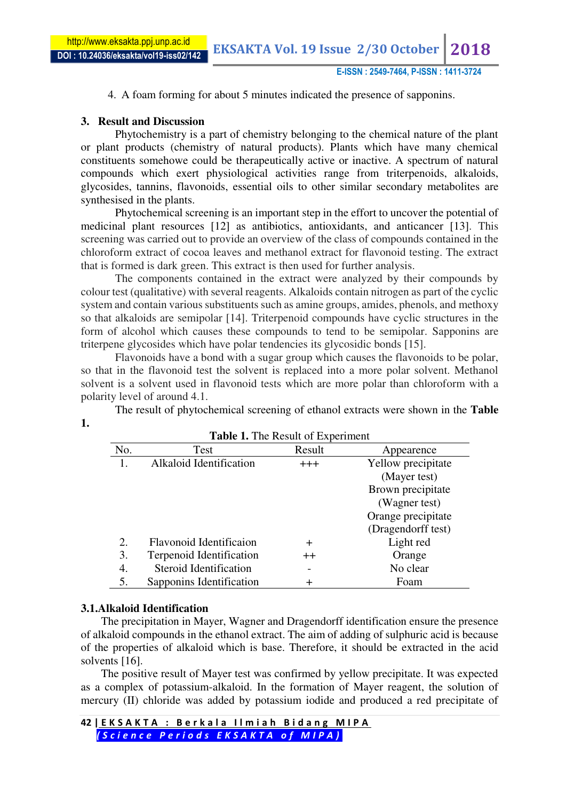4. A foam forming for about 5 minutes indicated the presence of sapponins.

# **3. Result and Discussion**

Phytochemistry is a part of chemistry belonging to the chemical nature of the plant or plant products (chemistry of natural products). Plants which have many chemical constituents somehowe could be therapeutically active or inactive. A spectrum of natural compounds which exert physiological activities range from triterpenoids, alkaloids, glycosides, tannins, flavonoids, essential oils to other similar secondary metabolites are synthesised in the plants.

Phytochemical screening is an important step in the effort to uncover the potential of medicinal plant resources [12] as antibiotics, antioxidants, and anticancer [13]. This screening was carried out to provide an overview of the class of compounds contained in the chloroform extract of cocoa leaves and methanol extract for flavonoid testing. The extract that is formed is dark green. This extract is then used for further analysis.

The components contained in the extract were analyzed by their compounds by colour test (qualitative) with several reagents. Alkaloids contain nitrogen as part of the cyclic system and contain various substituents such as amine groups, amides, phenols, and methoxy so that alkaloids are semipolar [14]. Triterpenoid compounds have cyclic structures in the form of alcohol which causes these compounds to tend to be semipolar. Sapponins are triterpene glycosides which have polar tendencies its glycosidic bonds [15].

Flavonoids have a bond with a sugar group which causes the flavonoids to be polar, so that in the flavonoid test the solvent is replaced into a more polar solvent. Methanol solvent is a solvent used in flavonoid tests which are more polar than chloroform with a polarity level of around 4.1.

The result of phytochemical screening of ethanol extracts were shown in the **Table** 

| No. | Test                     | Twore It the Itestate of Emperiment<br>Result | Appearence         |
|-----|--------------------------|-----------------------------------------------|--------------------|
|     | Alkaloid Identification  | $^{+++}$                                      | Yellow precipitate |
|     |                          |                                               | (Mayer test)       |
|     |                          |                                               | Brown precipitate  |
|     |                          |                                               | (Wagner test)      |
|     |                          |                                               | Orange precipitate |
|     |                          |                                               | (Dragendorff test) |
| 2.  | Flavonoid Identificaion  | $\div$                                        | Light red          |
| 3.  | Terpenoid Identification | $++$                                          | Orange             |
| 4.  | Steroid Identification   |                                               | No clear           |
| 5.  | Sapponins Identification | ┿                                             | Foam               |

# **Table 1.** The Result of Experiment

# **3.1.Alkaloid Identification**

**1.** 

The precipitation in Mayer, Wagner and Dragendorff identification ensure the presence of alkaloid compounds in the ethanol extract. The aim of adding of sulphuric acid is because of the properties of alkaloid which is base. Therefore, it should be extracted in the acid solvents [16].

The positive result of Mayer test was confirmed by yellow precipitate. It was expected as a complex of potassium-alkaloid. In the formation of Mayer reagent, the solution of mercury (II) chloride was added by potassium iodide and produced a red precipitate of

**<sup>42 |</sup> E K S A K T A : B e r k a l a I l m i a h B i d a n g M I P A**  *( S c i e n c e P e r i o d s E K S A K T A o f M I P A )*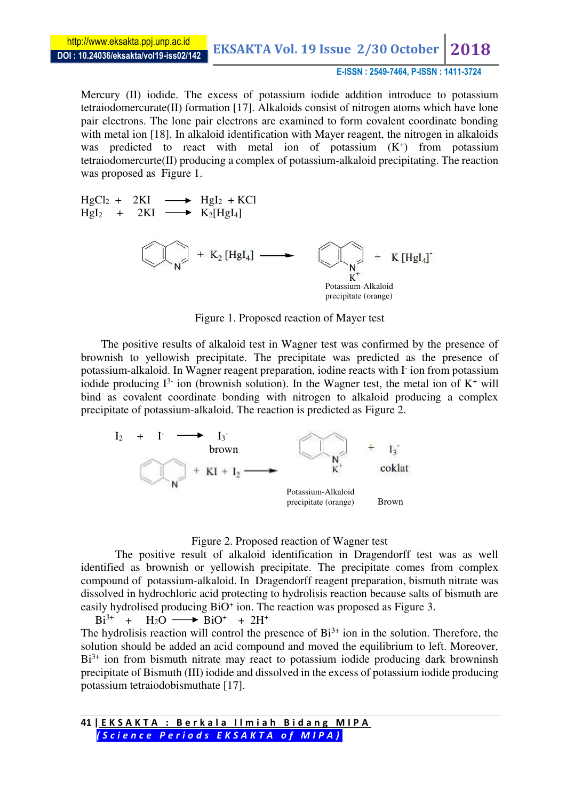### **E-ISSN : 2549-7464, P-ISSN : 1411-3724**

Mercury (II) iodide. The excess of potassium iodide addition introduce to potassium tetraiodomercurate(II) formation [17]. Alkaloids consist of nitrogen atoms which have lone pair electrons. The lone pair electrons are examined to form covalent coordinate bonding with metal ion [18]. In alkaloid identification with Mayer reagent, the nitrogen in alkaloids was predicted to react with metal ion of potassium (K<sup>+</sup>) from potassium tetraiodomercurte(II) producing a complex of potassium-alkaloid precipitating. The reaction was proposed as Figure 1.

 $HgCl_2 + 2KI \longrightarrow HgI_2 + KCl$  $Hgl_2$  + 2KI  $\longrightarrow$  K<sub>2</sub>[HgI<sub>4</sub>] +  $K_2$  [HgI<sub>4</sub>] - $K$  [ $Hgl_4$ ] K Potassium-Alkaloid precipitate (orange)

Figure 1. Proposed reaction of Mayer test

The positive results of alkaloid test in Wagner test was confirmed by the presence of brownish to yellowish precipitate. The precipitate was predicted as the presence of potassium-alkaloid. In Wagner reagent preparation, iodine reacts with I- ion from potassium iodide producing  $I^{3-}$  ion (brownish solution). In the Wagner test, the metal ion of  $K^+$  will bind as covalent coordinate bonding with nitrogen to alkaloid producing a complex precipitate of potassium-alkaloid. The reaction is predicted as Figure 2.



### Figure 2. Proposed reaction of Wagner test

The positive result of alkaloid identification in Dragendorff test was as well identified as brownish or yellowish precipitate. The precipitate comes from complex compound of potassium-alkaloid. In Dragendorff reagent preparation, bismuth nitrate was dissolved in hydrochloric acid protecting to hydrolisis reaction because salts of bismuth are easily hydrolised producing BiO<sup>+</sup> ion. The reaction was proposed as Figure 3.

 $Bi^{3+}$  +  $H_2O \longrightarrow BiO^+$  +  $2H^+$ The hydrolisis reaction will control the presence of  $Bi^{3+}$  ion in the solution. Therefore, the solution should be added an acid compound and moved the equilibrium to left. Moreover,  $Bi^{3+}$  ion from bismuth nitrate may react to potassium iodide producing dark browninsh precipitate of Bismuth (III) iodide and dissolved in the excess of potassium iodide producing potassium tetraiodobismuthate [17].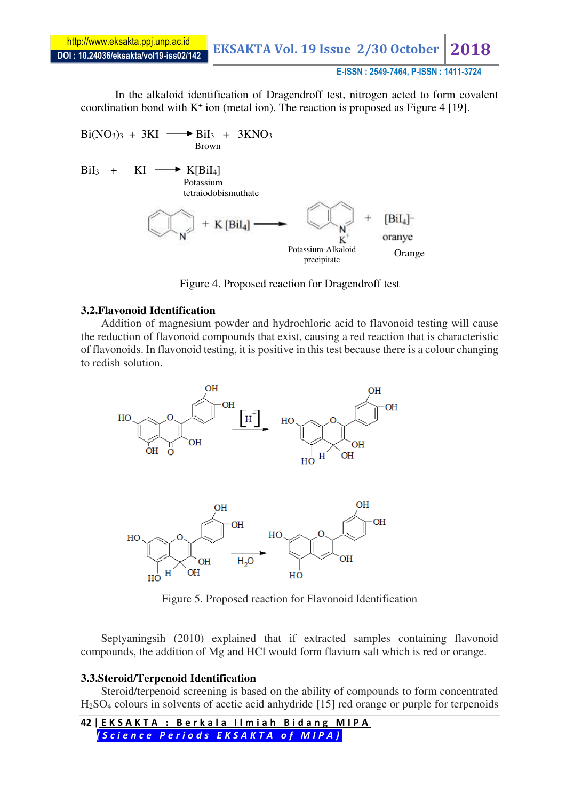**DOI : 10.24036/eksakta/vol19-iss02/142** http://www.eksakta.ppj.unp.ac.id

**EKSAKTA Vol. 19 Issue 2/30 October** 

# **E-ISSN : 2549-7464, P-ISSN : 1411-3724**

In the alkaloid identification of Dragendroff test, nitrogen acted to form covalent coordination bond with  $K^+$  ion (metal ion). The reaction is proposed as Figure 4 [19].

$$
Bi(NO3)3 + 3KI \longrightarrow BiI3 + 3KNO3
$$
  
\n
$$
BiI3 + KI \longrightarrow K[BiI4]\n\n
$$
F(t) = K[t]
$$
  
\n
$$
F(t)
$$
  
\n
$$
F(t)
$$
  
\n
$$
F(t)
$$
  
\n
$$
F(t)
$$
  
\n
$$
F(t)
$$
  
\n
$$
F(t)
$$
  
\n
$$
F(t)
$$
  
\n
$$
F(t)
$$
  
\n
$$
F(t)
$$
  
\n
$$
F(t)
$$
  
\n
$$
F(t)
$$
  
\n
$$
F(t)
$$
  
\n
$$
F(t)
$$
  
\n
$$
F(t)
$$
  
\n
$$
F(t)
$$
  
\n
$$
F(t)
$$
  
\n
$$
F(t)
$$
  
\n
$$
F(t)
$$
  
\n
$$
F(t)
$$
  
\n
$$
F(t)
$$
  
\n
$$
F(t)
$$
  
\n
$$
F(t)
$$
  
\n
$$
F(t)
$$
  
\n
$$
F(t)
$$
  
\n
$$
F(t)
$$
  
\n
$$
F(t)
$$
  
\n
$$
F(t)
$$
  
\n
$$
F(t)
$$
  
\n
$$
F(t)
$$
  
\n
$$
F(t)
$$
  
\n
$$
F(t)
$$
  
\n
$$
F(t)
$$
  
\n
$$
F(t)
$$
  
\n
$$
F(t)
$$
  
\n
$$
F(t)
$$
  
\n
$$
F(t)
$$
  
\n
$$
F(t)
$$
  
\n
$$
F(t)
$$
  
\n
$$
F(t)
$$
  
\n
$$
F(t)
$$
  
\n
$$
F(t)
$$
  
\n
$$
F(t)
$$
  
\n
$$
F(t)
$$
  
\n
$$
F(t)
$$
  
\n
$$
F(t)
$$
  
\n
$$
F(t)
$$
  
\n
$$
F(t)
$$
$$

Figure 4. Proposed reaction for Dragendroff test

# **3.2.Flavonoid Identification**

Addition of magnesium powder and hydrochloric acid to flavonoid testing will cause the reduction of flavonoid compounds that exist, causing a red reaction that is characteristic of flavonoids. In flavonoid testing, it is positive in this test because there is a colour changing to redish solution.



Figure 5. Proposed reaction for Flavonoid Identification

Septyaningsih (2010) explained that if extracted samples containing flavonoid compounds, the addition of Mg and HCl would form flavium salt which is red or orange.

# **3.3.Steroid/Terpenoid Identification**

Steroid/terpenoid screening is based on the ability of compounds to form concentrated H2SO4 colours in solvents of acetic acid anhydride [15] red orange or purple for terpenoids

**42 | E K S A K T A : B e r k a l a I l m i a h B i d a n g M I P A**  *( S c i e n c e P e r i o d s E K S A K T A o f M I P A )*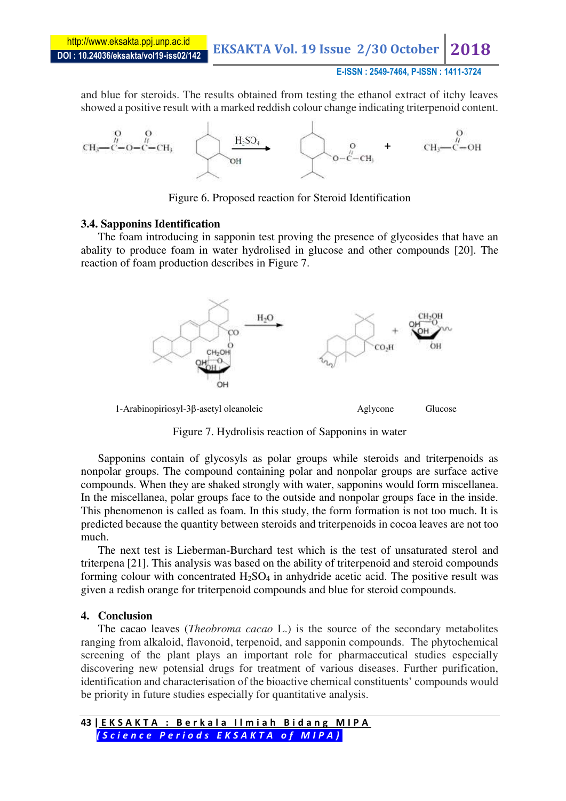**EKSAKTA Vol. 19 Issue 2/30 October 2018** 

### **E-ISSN : 2549-7464, P-ISSN : 1411-3724**

and blue for steroids. The results obtained from testing the ethanol extract of itchy leaves showed a positive result with a marked reddish colour change indicating triterpenoid content.



Figure 6. Proposed reaction for Steroid Identification

### **3.4. Sapponins Identification**

The foam introducing in sapponin test proving the presence of glycosides that have an abality to produce foam in water hydrolised in glucose and other compounds [20]. The reaction of foam production describes in Figure 7.



Figure 7. Hydrolisis reaction of Sapponins in water

Sapponins contain of glycosyls as polar groups while steroids and triterpenoids as nonpolar groups. The compound containing polar and nonpolar groups are surface active compounds. When they are shaked strongly with water, sapponins would form miscellanea. In the miscellanea, polar groups face to the outside and nonpolar groups face in the inside. This phenomenon is called as foam. In this study, the form formation is not too much. It is predicted because the quantity between steroids and triterpenoids in cocoa leaves are not too much.

The next test is Lieberman-Burchard test which is the test of unsaturated sterol and triterpena [21]. This analysis was based on the ability of triterpenoid and steroid compounds forming colour with concentrated  $H_2SO_4$  in anhydride acetic acid. The positive result was given a redish orange for triterpenoid compounds and blue for steroid compounds.

### **4. Conclusion**

The cacao leaves (*Theobroma cacao* L.) is the source of the secondary metabolites ranging from alkaloid, flavonoid, terpenoid, and sapponin compounds. The phytochemical screening of the plant plays an important role for pharmaceutical studies especially discovering new potensial drugs for treatment of various diseases. Further purification, identification and characterisation of the bioactive chemical constituents' compounds would be priority in future studies especially for quantitative analysis.

**43 | E K S A K T A : B e r k a l a I l m i a h B i d a n g M I P A**  *( S c i e n c e P e r i o d s E K S A K T A o f M I P A )*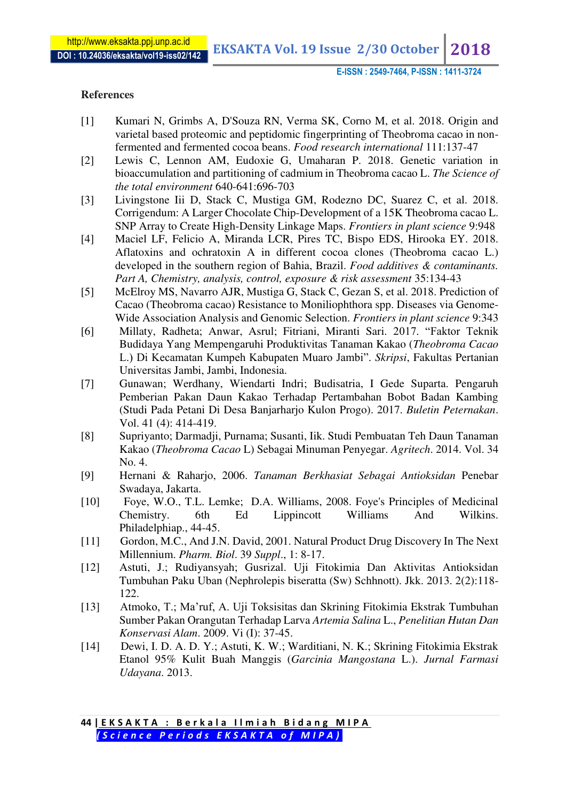**EKSAKTA Vol. 19 Issue 2/30 October 2018** 

**E-ISSN : 2549-7464, P-ISSN : 1411-3724**

# **References**

- [1] Kumari N, Grimbs A, D'Souza RN, Verma SK, Corno M, et al. 2018. Origin and varietal based proteomic and peptidomic fingerprinting of Theobroma cacao in nonfermented and fermented cocoa beans. *Food research international* 111:137-47
- [2] Lewis C, Lennon AM, Eudoxie G, Umaharan P. 2018. Genetic variation in bioaccumulation and partitioning of cadmium in Theobroma cacao L. *The Science of the total environment* 640-641:696-703
- [3] Livingstone Iii D, Stack C, Mustiga GM, Rodezno DC, Suarez C, et al. 2018. Corrigendum: A Larger Chocolate Chip-Development of a 15K Theobroma cacao L. SNP Array to Create High-Density Linkage Maps. *Frontiers in plant science* 9:948
- [4] Maciel LF, Felicio A, Miranda LCR, Pires TC, Bispo EDS, Hirooka EY. 2018. Aflatoxins and ochratoxin A in different cocoa clones (Theobroma cacao L.) developed in the southern region of Bahia, Brazil. *Food additives & contaminants. Part A, Chemistry, analysis, control, exposure & risk assessment* 35:134-43
- [5] McElroy MS, Navarro AJR, Mustiga G, Stack C, Gezan S, et al. 2018. Prediction of Cacao (Theobroma cacao) Resistance to Moniliophthora spp. Diseases via Genome-Wide Association Analysis and Genomic Selection. *Frontiers in plant science* 9:343
- [6] Millaty, Radheta; Anwar, Asrul; Fitriani, Miranti Sari. 2017. "Faktor Teknik Budidaya Yang Mempengaruhi Produktivitas Tanaman Kakao (*Theobroma Cacao*  L.) Di Kecamatan Kumpeh Kabupaten Muaro Jambi". *Skripsi*, Fakultas Pertanian Universitas Jambi, Jambi, Indonesia.
- [7] Gunawan; Werdhany, Wiendarti Indri; Budisatria, I Gede Suparta. Pengaruh Pemberian Pakan Daun Kakao Terhadap Pertambahan Bobot Badan Kambing (Studi Pada Petani Di Desa Banjarharjo Kulon Progo). 2017. *Buletin Peternakan*. Vol. 41 (4): 414-419.
- [8] Supriyanto; Darmadji, Purnama; Susanti, Iik. Studi Pembuatan Teh Daun Tanaman Kakao (*Theobroma Cacao* L) Sebagai Minuman Penyegar. *Agritech*. 2014. Vol. 34 No. 4.
- [9] Hernani & Raharjo, 2006. *Tanaman Berkhasiat Sebagai Antioksidan* Penebar Swadaya, Jakarta.
- [10] Foye, W.O., T.L. Lemke; D.A. Williams, 2008. Foye's Principles of Medicinal Chemistry. 6th Ed Lippincott Williams And Wilkins. Philadelphiap., 44-45.
- [11] Gordon, M.C., And J.N. David, 2001. Natural Product Drug Discovery In The Next Millennium. *Pharm. Biol*. 39 *Suppl*., 1: 8-17.
- [12] Astuti, J.; Rudiyansyah; Gusrizal. Uji Fitokimia Dan Aktivitas Antioksidan Tumbuhan Paku Uban (Nephrolepis biseratta (Sw) Schhnott). Jkk. 2013. 2(2):118- 122.
- [13] Atmoko, T.; Ma'ruf, A. Uji Toksisitas dan Skrining Fitokimia Ekstrak Tumbuhan Sumber Pakan Orangutan Terhadap Larva *Artemia Salina* L., *Penelitian Hutan Dan Konservasi Alam*. 2009. Vi (I): 37-45.
- [14] Dewi, I. D. A. D. Y.; Astuti, K. W.; Warditiani, N. K.; Skrining Fitokimia Ekstrak Etanol 95% Kulit Buah Manggis (*Garcinia Mangostana* L.). *Jurnal Farmasi Udayana*. 2013.

**<sup>44 |</sup> E K S A K T A : B e r k a l a I l m i a h B i d a n g M I P A**  *( S c i e n c e P e r i o d s E K S A K T A o f M I P A )*